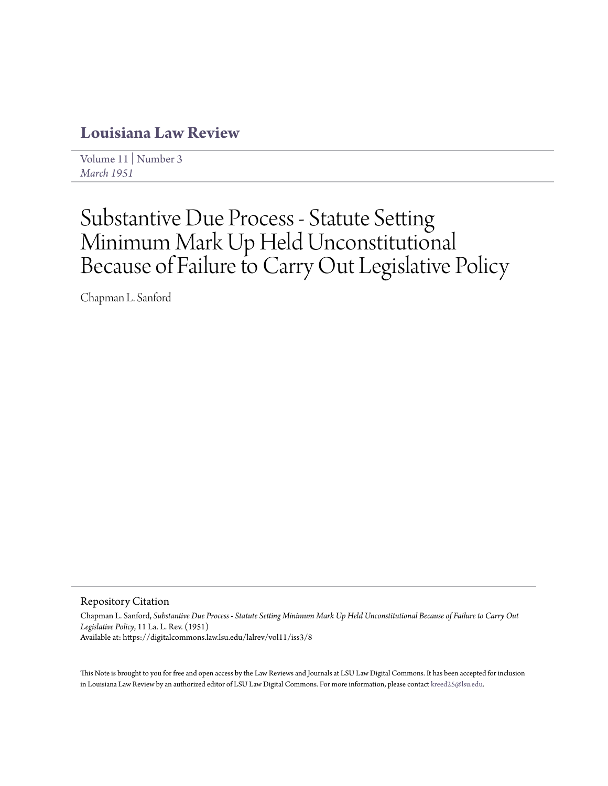## **[Louisiana Law Review](https://digitalcommons.law.lsu.edu/lalrev)**

[Volume 11](https://digitalcommons.law.lsu.edu/lalrev/vol11) | [Number 3](https://digitalcommons.law.lsu.edu/lalrev/vol11/iss3) *[March 1951](https://digitalcommons.law.lsu.edu/lalrev/vol11/iss3)*

# Substantive Due Process - Statute Setting Minimum Mark Up Held Unconstitutional Because of Failure to Carry Out Legislative Policy

Chapman L. Sanford

Repository Citation

Chapman L. Sanford, *Substantive Due Process - Statute Setting Minimum Mark Up Held Unconstitutional Because of Failure to Carry Out Legislative Policy*, 11 La. L. Rev. (1951) Available at: https://digitalcommons.law.lsu.edu/lalrev/vol11/iss3/8

This Note is brought to you for free and open access by the Law Reviews and Journals at LSU Law Digital Commons. It has been accepted for inclusion in Louisiana Law Review by an authorized editor of LSU Law Digital Commons. For more information, please contact [kreed25@lsu.edu](mailto:kreed25@lsu.edu).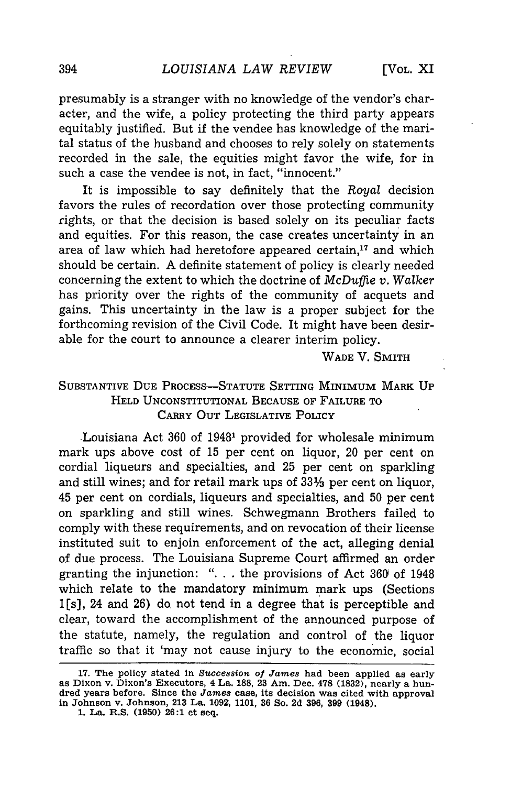presumably is a stranger with no knowledge of the vendor's character, and the wife, a policy protecting the third party appears equitably justified. But if the vendee has knowledge of the marital status of the husband and chooses to rely solely on statements recorded in the sale, the equities might favor the wife, for in such a case the vendee is not, in fact, "innocent."

It is impossible to say definitely that the *Royal* decision favors the rules of recordation over those protecting community rights, or that the decision is based solely on its peculiar facts and equities. For this reason, the case creates uncertainty in an area of law which had heretofore appeared certain, $17$  and which should be certain. A definite statement of policy is clearly needed concerning the extent to which the doctrine of *McDuffie v. Walker* has priority over the rights of the community of acquets and gains. This uncertainty in the law is a proper subject for the forthcoming revision of the Civil Code. It might have been desirable for the court to announce a clearer interim policy.

WADE V. SMITH

### SUBSTANTIVE DUE PROCESS-STATUTE SETTING MINIMUM MARK **UP** HELD UNCONSTITUTIONAL BECAUSE OF FAILURE TO CARRY OUT LEGISLATIVE POLICY

Louisiana Act 360 of 19481 provided for wholesale minimum mark ups above cost of 15 per cent on liquor, 20 per cent on cordial liqueurs and specialties, and 25 per cent on sparkling and still wines; and for retail mark ups of **33%** per cent on liquor, 45 per cent on cordials, liqueurs and specialties, and 50 per cent on sparkling and still wines. Schwegmann Brothers failed to comply with these requirements, and on revocation of their license instituted suit to enjoin enforcement of the act, alleging denial of due process. The Louisiana Supreme Court affirmed an order granting the injunction: ". **.** . the provisions of Act **360** of 1948 which relate to the mandatory minimum mark ups (Sections  $1[s]$ , 24 and 26) do not tend in a degree that is perceptible and clear, toward the accomplishment of the announced purpose of the statute, namely, the regulation and control of the liquor traffic so that it 'may not cause injury to the economic, social

**<sup>17.</sup>** The **policy** stated **in** *Succession of James* **had** been applied **as** early as Dixon v. Dixon's Executors, 4 **La. 188, 23** Am. Dec. **478 (1832),** nearly a hundred years before. Since the *James* **case, its decision was** cited with approval **in Johnson** v. Johnson, **213 La. 1092, 1101, 36 So. 2d 396, 399 (1948).**

**<sup>1.</sup> La. R.S. (1950) 26:1** et seq.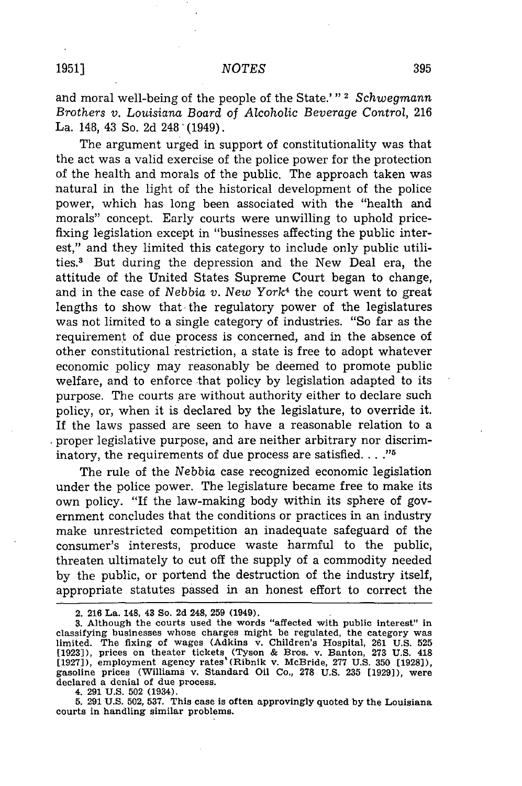and moral well-being of the people of the State.'" **2** *Schwegmann Brothers v. Louisiana Board* of *Alcoholic Beverage Control,* 216 La. 148, 43 So. 2d 248'(1949).

The argument urged in support of constitutionality was that the act was a valid exercise of the police power for the protection of the health and morals of the public. The approach taken was natural in the light of the historical development of the police power, which has long been associated with the "health and morals" concept. Early courts were unwilling to uphold pricefixing legislation except in "businesses affecting the public interest," and they limited this category to include only public utilities.3 But during the depression and the New Deal era, the attitude of the United States Supreme Court began to change, and in the case of *Nebbia v. New York<sup>4</sup>* the court went to great lengths to show that the regulatory power of the legislatures was not limited to a single category of industries. "So far as the requirement of due process is concerned, and in the absence of other constitutional restriction, a state is free to adopt whatever economic policy may reasonably be deemed to promote public welfare, and to enforce that policy by legislation adapted to its purpose. The courts are without authority either to declare such policy, or, when it is declared by the legislature, to override it. If the laws passed are seen to have a reasonable relation to a b proper legislative purpose, and are neither arbitrary nor discriminatory, the requirements of due process are satisfied. . . .<sup>75</sup>

The rule of the *Nebbia* case recognized economic legislation under the police power. The legislature became free to make its own policy. "If the law-making body within its sphere of government concludes that the conditions or practices in an industry make unrestricted competition an inadequate safeguard of the consumer's interests, produce waste harmful to the public, threaten ultimately to cut off the supply of a commodity needed by the public, or portend the destruction of the industry itself, appropriate statutes passed in an honest effort to correct the

**<sup>2. 216</sup> La. 148,** 43 **So. 2d 248, 259 (1949).**

**<sup>3.</sup> Although the courts used the words "affected with public interest" in classifying businesses whose charges might be regulated, the category was limited. The fixing** of **wages (Adkins v. Children's Hospital, 261 U.S. 525 [1923]), prices on theater tickets (Tyson & Bros. v. Banton, 273 U.S. 418 [1927]), employment agency rates'(Ribnik v. McBride, 277 U.S. 350 [1928]), gasoline prices (Williams v. Standard Oil Co., 278 U.S. 235 [1929]), were declared a denial of due process.**

**<sup>4. 291</sup> U.S. 502 (1934). 5. 291 U.S. 502, 537. This case is often approvingly quoted by the Louisiana courts in handling similar problems.**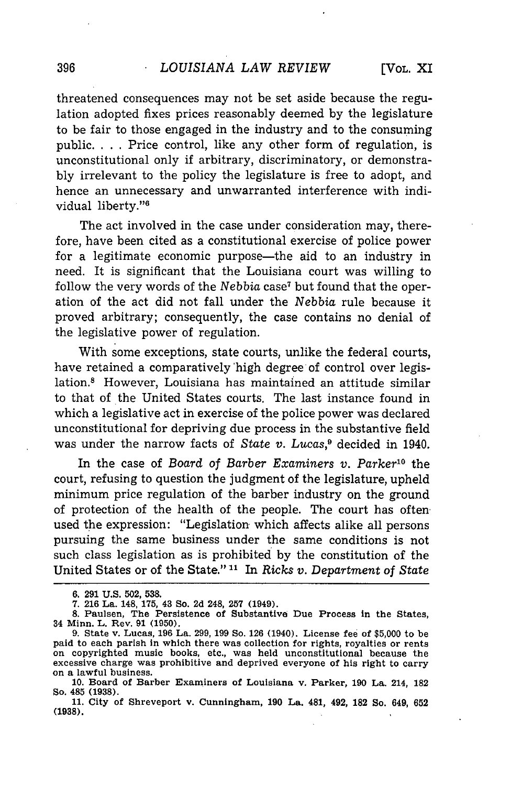threatened consequences may not be set aside because the regulation adopted fixes prices reasonably deemed by the legislature to be fair to those engaged in the industry and to the consuming public. . **.** . Price control, like any other form of regulation, is unconstitutional only if arbitrary, discriminatory, or demonstrably irrelevant to the policy the legislature is free to adopt, and hence an unnecessary and unwarranted interference with individual liberty."6

The act involved in the case under consideration may, therefore, have been cited as a constitutional exercise of police power for a legitimate economic purpose—the aid to an industry in need. It is significant that the Louisiana court was willing to follow the very words of the Nebbia case<sup>7</sup> but found that the operation of the act did not fall under the *Nebbia* rule because it proved arbitrary; consequently, the case contains no denial of the legislative power of regulation.

With some exceptions, state courts, unlike the federal courts, have retained a comparatively'high degree of control over legislation.8 However, Louisiana has maintained an attitude similar to that of the United States courts. The last instance found in which a legislative act in exercise of the police power was declared unconstitutional for depriving due process in the substantive field was under the narrow facts of *State v. Lucas,9* decided in 1940.

In the case of *Board of Barber Examiners v. Parker*<sup>10</sup> the court, refusing to question the judgment of the legislature, upheld minimum price regulation of the barber industry on the ground of protection of the health of the people. The court has often used the expression: "Legislation which affects alike all persons pursuing the same business under the same conditions is not such class legislation as is prohibited by the constitution of the United States or of the State."<sup>11</sup> In *Ricks v. Department of State* 

**<sup>6. 291</sup> U.S. 502, 538.**

**<sup>7. 216</sup> La. 148, 175, 43 So. 2d 248, 257 (1949).**

**<sup>8.</sup> Paulsen, The Persistence of Substantive Due Process in the States, 34 Minn. L. Rev. 91 (1950).**

**<sup>9.</sup> State v. Lucas, 196 La. 299, 199 So. 126 (1940). License fee of \$5,000 to be paid to each parish in which there was collection for rights, royalties or rents on copyrighted music books, etc., was held unconstitutional because the excessive charge was prohibitive and deprived everyone of his right to carry on a lawful business.**

**<sup>10.</sup> Board of Barber Examiners of Louisiana v. Parker, 190 La. 214, 182 So. 485 (1938).**

**<sup>11.</sup> City of Shreveport v. Cunningham, 190 La. 481, 492, 182 So. 649, 652 (1938).**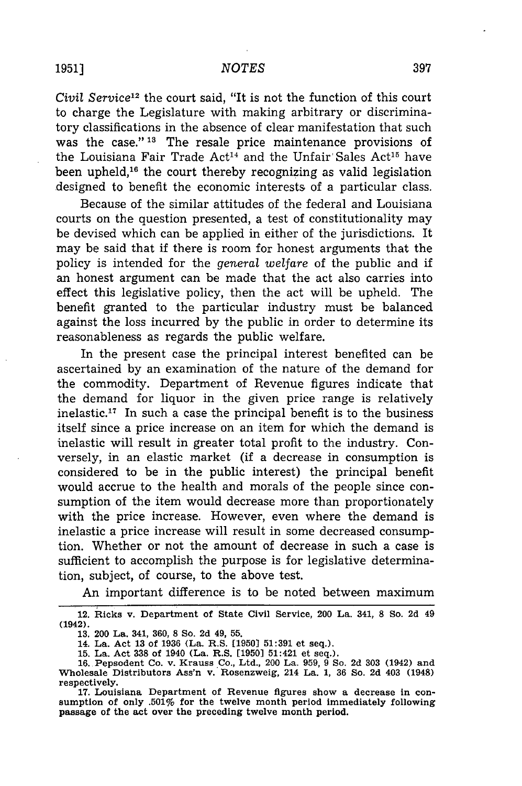#### *NOTES*

*Civil Service12* the court said, "It is not the function of this court to charge the Legislature with making arbitrary or discriminatory classifications in the absence of clear manifestation that such was the case." **13** The resale price maintenance provisions of the Louisiana Fair Trade Act<sup>14</sup> and the Unfair Sales Act<sup>15</sup> have been upheld,<sup>16</sup> the court thereby recognizing as valid legislation designed to benefit the economic interests of a particular class.

Because of the similar attitudes of the federal and Louisiana courts on the question presented, a test of constitutionality may be devised which can be applied in either of the jurisdictions. It may be said that if there is room for honest arguments that the policy is intended for the *general welfare* of the public and if an honest argument can be made that the act also carries into effect this legislative policy, then the act will be upheld. The benefit granted to the particular industry must be balanced against the loss incurred by the public in order to determine its reasonableness as regards the public welfare.

In the present case the principal interest benefited can be ascertained by an examination of the nature of the demand for the commodity. Department of Revenue figures indicate that the demand for liquor in the given price range is relatively inelastic.<sup>17</sup> In such a case the principal benefit is to the business itself since a price increase on an item for which the demand is inelastic will result in greater total profit to the industry. Conversely, in an elastic market (if a decrease in consumption is considered to be in the public interest) the principal benefit would accrue to the health and morals of the people since consumption of the item would decrease more than proportionately with the price increase. However, even where the demand is inelastic a price increase will result in some decreased consumption. Whether or not the amount of decrease in such a case is sufficient to accomplish the purpose is for legislative determination, subject, of course, to the above test.

An important difference is to be noted between maximum

**<sup>12.</sup> Ricks v. Department of State Civil Service,** 200 **La. 341, 8 So. 2d 49 (1942). 13. 200 La. 341, 360, 8 So. 2d 49, 55.**

**<sup>14.</sup> La. Act 13 of 1936 (La. R.S. [1950) 51:391 et seq.).**

**<sup>15.</sup> La. Act 338 of 1940 (La. R.S. [1950] 51:421 et seq.).**

**<sup>16.</sup> Pepsodent Co. v. Krauss Co., Ltd., 200 La. 959, 9 So. 2d 303 (1942) and Wholesale Distributors Ass'n v. Rosenzweig, 214 La. 1, 36 So. 2d 403 (1948) respectively.**

<sup>17.</sup> Louisiana Department of Revenue figures show a decrease in con**sumption of only .501% for the twelve month period immediately following passage of the act over the preceding twelve month period.**